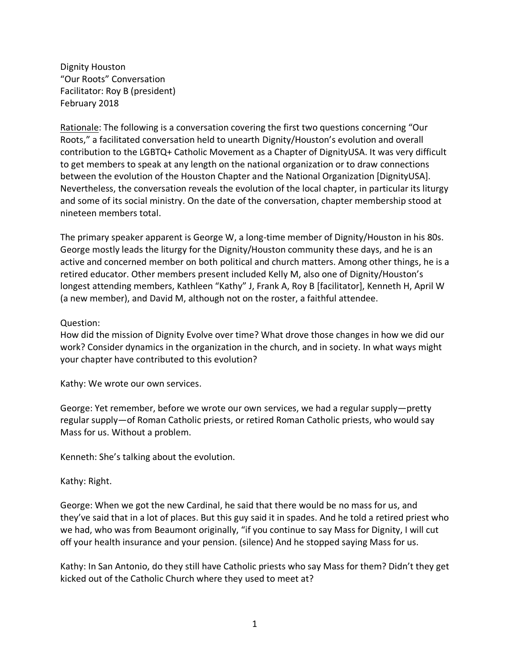Dignity Houston "Our Roots" Conversation Facilitator: Roy B (president) February 2018

Rationale: The following is a conversation covering the first two questions concerning "Our Roots," a facilitated conversation held to unearth Dignity/Houston's evolution and overall contribution to the LGBTQ+ Catholic Movement as a Chapter of DignityUSA. It was very difficult to get members to speak at any length on the national organization or to draw connections between the evolution of the Houston Chapter and the National Organization [DignityUSA]. Nevertheless, the conversation reveals the evolution of the local chapter, in particular its liturgy and some of its social ministry. On the date of the conversation, chapter membership stood at nineteen members total.

The primary speaker apparent is George W, a long-time member of Dignity/Houston in his 80s. George mostly leads the liturgy for the Dignity/Houston community these days, and he is an active and concerned member on both political and church matters. Among other things, he is a retired educator. Other members present included Kelly M, also one of Dignity/Houston's longest attending members, Kathleen "Kathy" J, Frank A, Roy B [facilitator], Kenneth H, April W (a new member), and David M, although not on the roster, a faithful attendee.

## Question:

How did the mission of Dignity Evolve over time? What drove those changes in how we did our work? Consider dynamics in the organization in the church, and in society. In what ways might your chapter have contributed to this evolution?

Kathy: We wrote our own services.

George: Yet remember, before we wrote our own services, we had a regular supply—pretty regular supply—of Roman Catholic priests, or retired Roman Catholic priests, who would say Mass for us. Without a problem.

Kenneth: She's talking about the evolution.

## Kathy: Right.

George: When we got the new Cardinal, he said that there would be no mass for us, and they've said that in a lot of places. But this guy said it in spades. And he told a retired priest who we had, who was from Beaumont originally, "if you continue to say Mass for Dignity, I will cut off your health insurance and your pension. (silence) And he stopped saying Mass for us.

Kathy: In San Antonio, do they still have Catholic priests who say Mass for them? Didn't they get kicked out of the Catholic Church where they used to meet at?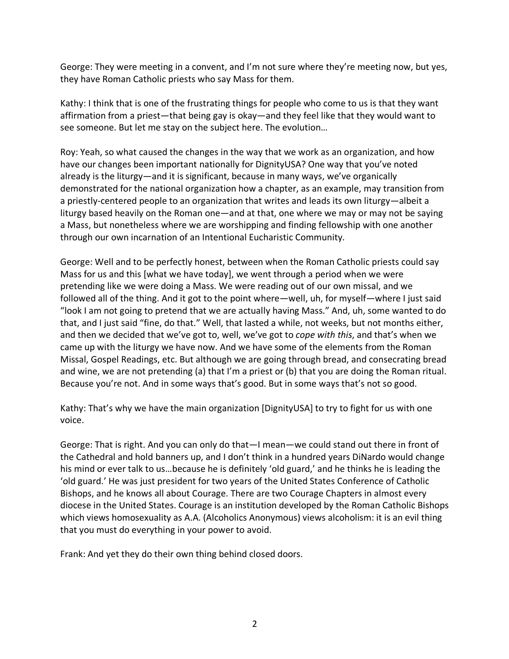George: They were meeting in a convent, and I'm not sure where they're meeting now, but yes, they have Roman Catholic priests who say Mass for them.

Kathy: I think that is one of the frustrating things for people who come to us is that they want affirmation from a priest—that being gay is okay—and they feel like that they would want to see someone. But let me stay on the subject here. The evolution…

Roy: Yeah, so what caused the changes in the way that we work as an organization, and how have our changes been important nationally for DignityUSA? One way that you've noted already is the liturgy—and it is significant, because in many ways, we've organically demonstrated for the national organization how a chapter, as an example, may transition from a priestly-centered people to an organization that writes and leads its own liturgy—albeit a liturgy based heavily on the Roman one—and at that, one where we may or may not be saying a Mass, but nonetheless where we are worshipping and finding fellowship with one another through our own incarnation of an Intentional Eucharistic Community.

George: Well and to be perfectly honest, between when the Roman Catholic priests could say Mass for us and this [what we have today], we went through a period when we were pretending like we were doing a Mass. We were reading out of our own missal, and we followed all of the thing. And it got to the point where—well, uh, for myself—where I just said "look I am not going to pretend that we are actually having Mass." And, uh, some wanted to do that, and I just said "fine, do that." Well, that lasted a while, not weeks, but not months either, and then we decided that we've got to, well, we've got to *cope with this*, and that's when we came up with the liturgy we have now. And we have some of the elements from the Roman Missal, Gospel Readings, etc. But although we are going through bread, and consecrating bread and wine, we are not pretending (a) that I'm a priest or (b) that you are doing the Roman ritual. Because you're not. And in some ways that's good. But in some ways that's not so good.

Kathy: That's why we have the main organization [DignityUSA] to try to fight for us with one voice.

George: That is right. And you can only do that—I mean—we could stand out there in front of the Cathedral and hold banners up, and I don't think in a hundred years DiNardo would change his mind or ever talk to us…because he is definitely 'old guard,' and he thinks he is leading the 'old guard.' He was just president for two years of the United States Conference of Catholic Bishops, and he knows all about Courage. There are two Courage Chapters in almost every diocese in the United States. Courage is an institution developed by the Roman Catholic Bishops which views homosexuality as A.A. (Alcoholics Anonymous) views alcoholism: it is an evil thing that you must do everything in your power to avoid.

Frank: And yet they do their own thing behind closed doors.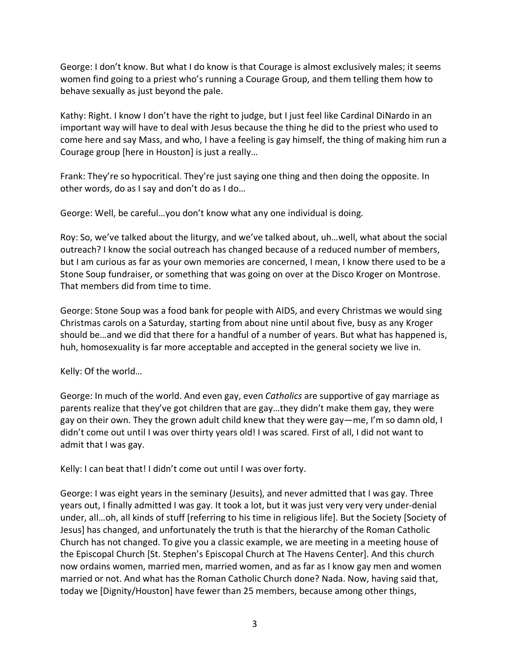George: I don't know. But what I do know is that Courage is almost exclusively males; it seems women find going to a priest who's running a Courage Group, and them telling them how to behave sexually as just beyond the pale.

Kathy: Right. I know I don't have the right to judge, but I just feel like Cardinal DiNardo in an important way will have to deal with Jesus because the thing he did to the priest who used to come here and say Mass, and who, I have a feeling is gay himself, the thing of making him run a Courage group [here in Houston] is just a really…

Frank: They're so hypocritical. They're just saying one thing and then doing the opposite. In other words, do as I say and don't do as I do…

George: Well, be careful…you don't know what any one individual is doing.

Roy: So, we've talked about the liturgy, and we've talked about, uh…well, what about the social outreach? I know the social outreach has changed because of a reduced number of members, but I am curious as far as your own memories are concerned, I mean, I know there used to be a Stone Soup fundraiser, or something that was going on over at the Disco Kroger on Montrose. That members did from time to time.

George: Stone Soup was a food bank for people with AIDS, and every Christmas we would sing Christmas carols on a Saturday, starting from about nine until about five, busy as any Kroger should be…and we did that there for a handful of a number of years. But what has happened is, huh, homosexuality is far more acceptable and accepted in the general society we live in.

Kelly: Of the world…

George: In much of the world. And even gay, even *Catholics* are supportive of gay marriage as parents realize that they've got children that are gay…they didn't make them gay, they were gay on their own. They the grown adult child knew that they were gay—me, I'm so damn old, I didn't come out until I was over thirty years old! I was scared. First of all, I did not want to admit that I was gay.

Kelly: I can beat that! I didn't come out until I was over forty.

George: I was eight years in the seminary (Jesuits), and never admitted that I was gay. Three years out, I finally admitted I was gay. It took a lot, but it was just very very very under-denial under, all…oh, all kinds of stuff [referring to his time in religious life]. But the Society [Society of Jesus] has changed, and unfortunately the truth is that the hierarchy of the Roman Catholic Church has not changed. To give you a classic example, we are meeting in a meeting house of the Episcopal Church [St. Stephen's Episcopal Church at The Havens Center]. And this church now ordains women, married men, married women, and as far as I know gay men and women married or not. And what has the Roman Catholic Church done? Nada. Now, having said that, today we [Dignity/Houston] have fewer than 25 members, because among other things,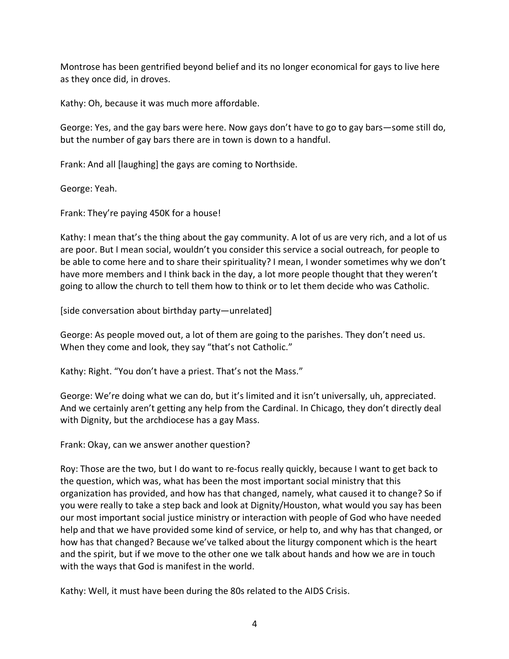Montrose has been gentrified beyond belief and its no longer economical for gays to live here as they once did, in droves.

Kathy: Oh, because it was much more affordable.

George: Yes, and the gay bars were here. Now gays don't have to go to gay bars—some still do, but the number of gay bars there are in town is down to a handful.

Frank: And all [laughing] the gays are coming to Northside.

George: Yeah.

Frank: They're paying 450K for a house!

Kathy: I mean that's the thing about the gay community. A lot of us are very rich, and a lot of us are poor. But I mean social, wouldn't you consider this service a social outreach, for people to be able to come here and to share their spirituality? I mean, I wonder sometimes why we don't have more members and I think back in the day, a lot more people thought that they weren't going to allow the church to tell them how to think or to let them decide who was Catholic.

[side conversation about birthday party—unrelated]

George: As people moved out, a lot of them are going to the parishes. They don't need us. When they come and look, they say "that's not Catholic."

Kathy: Right. "You don't have a priest. That's not the Mass."

George: We're doing what we can do, but it's limited and it isn't universally, uh, appreciated. And we certainly aren't getting any help from the Cardinal. In Chicago, they don't directly deal with Dignity, but the archdiocese has a gay Mass.

Frank: Okay, can we answer another question?

Roy: Those are the two, but I do want to re-focus really quickly, because I want to get back to the question, which was, what has been the most important social ministry that this organization has provided, and how has that changed, namely, what caused it to change? So if you were really to take a step back and look at Dignity/Houston, what would you say has been our most important social justice ministry or interaction with people of God who have needed help and that we have provided some kind of service, or help to, and why has that changed, or how has that changed? Because we've talked about the liturgy component which is the heart and the spirit, but if we move to the other one we talk about hands and how we are in touch with the ways that God is manifest in the world.

Kathy: Well, it must have been during the 80s related to the AIDS Crisis.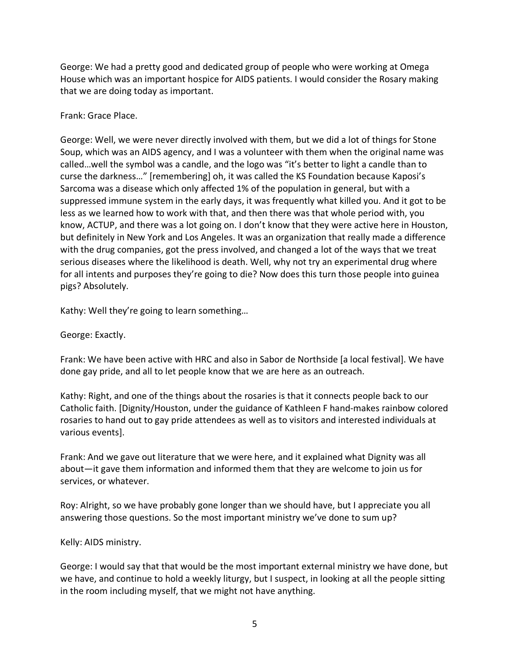George: We had a pretty good and dedicated group of people who were working at Omega House which was an important hospice for AIDS patients. I would consider the Rosary making that we are doing today as important.

## Frank: Grace Place.

George: Well, we were never directly involved with them, but we did a lot of things for Stone Soup, which was an AIDS agency, and I was a volunteer with them when the original name was called…well the symbol was a candle, and the logo was "it's better to light a candle than to curse the darkness…" [remembering] oh, it was called the KS Foundation because Kaposi's Sarcoma was a disease which only affected 1% of the population in general, but with a suppressed immune system in the early days, it was frequently what killed you. And it got to be less as we learned how to work with that, and then there was that whole period with, you know, ACTUP, and there was a lot going on. I don't know that they were active here in Houston, but definitely in New York and Los Angeles. It was an organization that really made a difference with the drug companies, got the press involved, and changed a lot of the ways that we treat serious diseases where the likelihood is death. Well, why not try an experimental drug where for all intents and purposes they're going to die? Now does this turn those people into guinea pigs? Absolutely.

Kathy: Well they're going to learn something…

George: Exactly.

Frank: We have been active with HRC and also in Sabor de Northside [a local festival]. We have done gay pride, and all to let people know that we are here as an outreach.

Kathy: Right, and one of the things about the rosaries is that it connects people back to our Catholic faith. [Dignity/Houston, under the guidance of Kathleen F hand-makes rainbow colored rosaries to hand out to gay pride attendees as well as to visitors and interested individuals at various events].

Frank: And we gave out literature that we were here, and it explained what Dignity was all about—it gave them information and informed them that they are welcome to join us for services, or whatever.

Roy: Alright, so we have probably gone longer than we should have, but I appreciate you all answering those questions. So the most important ministry we've done to sum up?

## Kelly: AIDS ministry.

George: I would say that that would be the most important external ministry we have done, but we have, and continue to hold a weekly liturgy, but I suspect, in looking at all the people sitting in the room including myself, that we might not have anything.